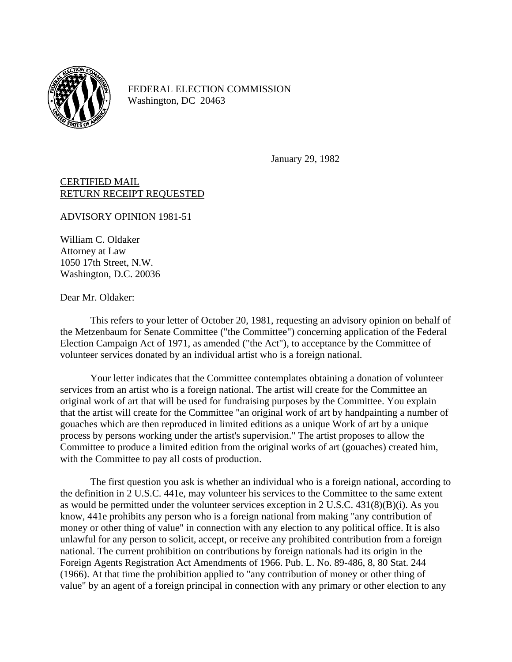

FEDERAL ELECTION COMMISSION Washington, DC 20463

January 29, 1982

CERTIFIED MAIL RETURN RECEIPT REQUESTED

ADVISORY OPINION 1981-51

William C. Oldaker Attorney at Law 1050 17th Street, N.W. Washington, D.C. 20036

Dear Mr. Oldaker:

This refers to your letter of October 20, 1981, requesting an advisory opinion on behalf of the Metzenbaum for Senate Committee ("the Committee") concerning application of the Federal Election Campaign Act of 1971, as amended ("the Act"), to acceptance by the Committee of volunteer services donated by an individual artist who is a foreign national.

Your letter indicates that the Committee contemplates obtaining a donation of volunteer services from an artist who is a foreign national. The artist will create for the Committee an original work of art that will be used for fundraising purposes by the Committee. You explain that the artist will create for the Committee "an original work of art by handpainting a number of gouaches which are then reproduced in limited editions as a unique Work of art by a unique process by persons working under the artist's supervision." The artist proposes to allow the Committee to produce a limited edition from the original works of art (gouaches) created him, with the Committee to pay all costs of production.

The first question you ask is whether an individual who is a foreign national, according to the definition in 2 U.S.C. 441e, may volunteer his services to the Committee to the same extent as would be permitted under the volunteer services exception in 2 U.S.C. 431(8)(B)(i). As you know, 441e prohibits any person who is a foreign national from making "any contribution of money or other thing of value" in connection with any election to any political office. It is also unlawful for any person to solicit, accept, or receive any prohibited contribution from a foreign national. The current prohibition on contributions by foreign nationals had its origin in the Foreign Agents Registration Act Amendments of 1966. Pub. L. No. 89-486, 8, 80 Stat. 244 (1966). At that time the prohibition applied to "any contribution of money or other thing of value" by an agent of a foreign principal in connection with any primary or other election to any